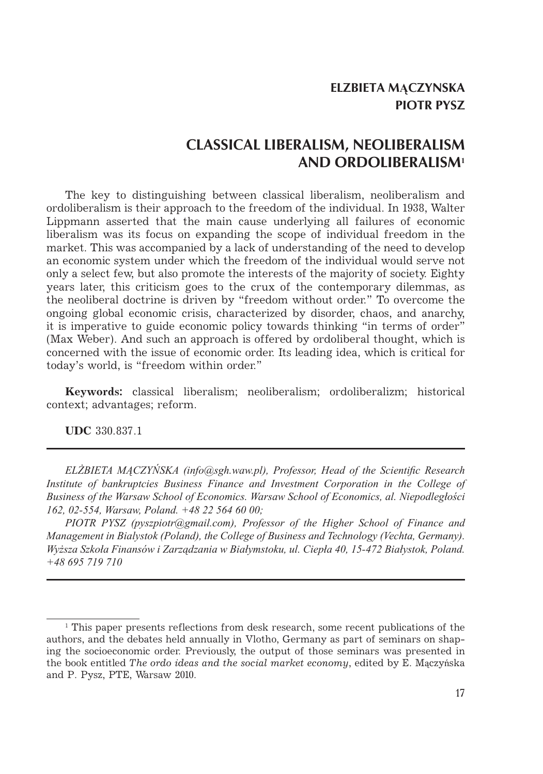# **CLASSICAL LIBERALISM, NEOLIBERALISM AND ORDOLIBERALISM<sup>1</sup>**

The key to distinguishing between classical liberalism, neoliberalism and ordoliberalism is their approach to the freedom of the individual. In 1938, Walter Lippmann asserted that the main cause underlying all failures of economic liberalism was its focus on expanding the scope of individual freedom in the market. This was accompanied by a lack of understanding of the need to develop an economic system under which the freedom of the individual would serve not only a select few, but also promote the interests of the majority of society. Eighty years later, this criticism goes to the crux of the contemporary dilemmas, as the neoliberal doctrine is driven by "freedom without order." To overcome the ongoing global economic crisis, characterized by disorder, chaos, and anarchy, it is imperative to guide economic policy towards thinking "in terms of order" (Max Weber). And such an approach is offered by ordoliberal thought, which is concerned with the issue of economic order. Its leading idea, which is critical for today's world, is "freedom within order."

**Keywords:** classical liberalism; neoliberalism; ordoliberalizm; historical context; advantages; reform.

**UDC** 330.837.1

*ELŻBIETA MĄCZYŃSKA (info@sgh.waw.pl), Professor, Head of the Scientific Research Institute of bankruptcies Business Finance and Investment Corporation in the College of Business of the Warsaw School of Economics. Warsaw School of Economics, al. Niepodległości 162, 02-554, Warsaw, Poland. +48 22 564 60 00;*

*PIOTR PYSZ (pyszpiotr@gmail.com), Professor of the Higher School of Finance and Management in Bialystok (Poland), the College of Business and Technology (Vechta, Germany). Wyższa Szkoła Finansów i Zarządzania w Białymstoku, ul. Ciepła 40, 15-472 Białystok, Poland. +48 695 719 710*

<sup>1</sup> This paper presents reflections from desk research, some recent publications of the authors, and the debates held annually in Vlotho, Germany as part of seminars on shaping the socioeconomic order. Previously, the output of those seminars was presented in the book entitled *The ordo ideas and the social market economy*, edited by E. Mączyńska and P. Pysz, PTE, Warsaw 2010.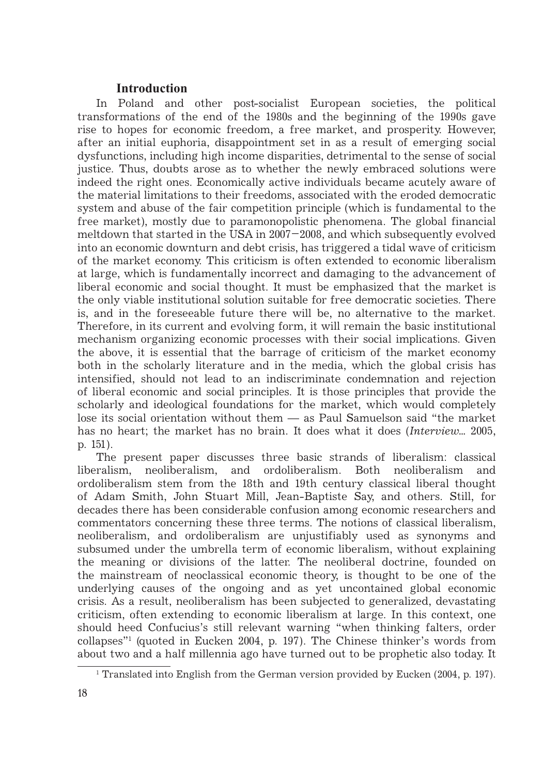## **Introduction**

In Poland and other post-socialist European societies, the political transformations of the end of the 1980s and the beginning of the 1990s gave rise to hopes for economic freedom, a free market, and prosperity. However, after an initial euphoria, disappointment set in as a result of emerging social dysfunctions, including high income disparities, detrimental to the sense of social justice. Thus, doubts arose as to whether the newly embraced solutions were indeed the right ones. Economically active individuals became acutely aware of the material limitations to their freedoms, associated with the eroded democratic system and abuse of the fair competition principle (which is fundamental to the free market), mostly due to paramonopolistic phenomena. The global financial meltdown that started in the USA in 2007–2008, and which subsequently evolved into an economic downturn and debt crisis, has triggered a tidal wave of criticism of the market economy. This criticism is often extended to economic liberalism at large, which is fundamentally incorrect and damaging to the advancement of liberal economic and social thought. It must be emphasized that the market is the only viable institutional solution suitable for free democratic societies. There is, and in the foreseeable future there will be, no alternative to the market. Therefore, in its current and evolving form, it will remain the basic institutional mechanism organizing economic processes with their social implications. Given the above, it is essential that the barrage of criticism of the market economy both in the scholarly literature and in the media, which the global crisis has intensified, should not lead to an indiscriminate condemnation and rejection of liberal economic and social principles. It is those principles that provide the scholarly and ideological foundations for the market, which would completely lose its social orientation without them — as Paul Samuelson said "the market has no heart; the market has no brain. It does what it does (*Interview…* 2005, p. 151).

The present paper discusses three basic strands of liberalism: classical liberalism, neoliberalism, and ordoliberalism. Both neoliberalism and ordoliberalism stem from the 18th and 19th century classical liberal thought of Adam Smith, John Stuart Mill, Jean-Baptiste Say, and others. Still, for decades there has been considerable confusion among economic researchers and commentators concerning these three terms. The notions of classical liberalism, neoliberalism, and ordoliberalism are unjustifiably used as synonyms and subsumed under the umbrella term of economic liberalism, without explaining the meaning or divisions of the latter. The neoliberal doctrine, founded on the mainstream of neoclassical economic theory, is thought to be one of the underlying causes of the ongoing and as yet uncontained global economic crisis. As a result, neoliberalism has been subjected to generalized, devastating criticism, often extending to economic liberalism at large. In this context, one should heed Confucius's still relevant warning "when thinking falters, order collapses"1 (quoted in Eucken 2004, p. 197). The Chinese thinker's words from about two and a half millennia ago have turned out to be prophetic also today. It

<sup>1</sup> Translated into English from the German version provided by Eucken (2004, p. 197).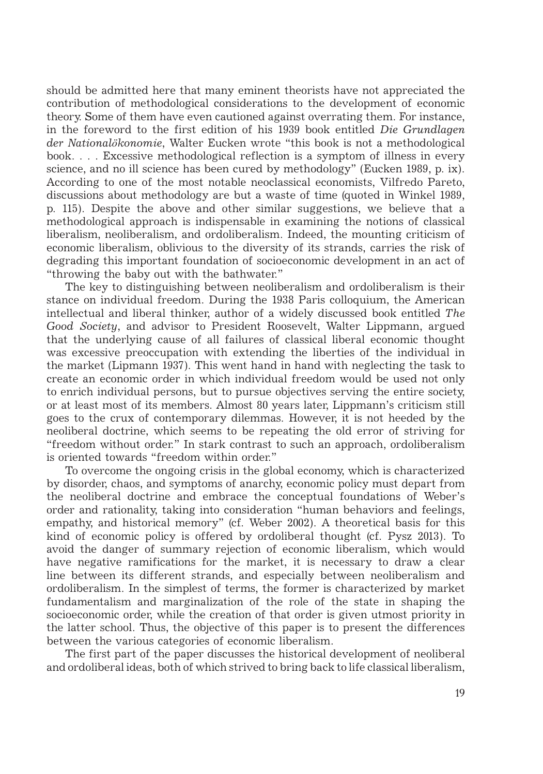should be admitted here that many eminent theorists have not appreciated the contribution of methodological considerations to the development of economic theory. Some of them have even cautioned against overrating them. For instance, in the foreword to the first edition of his 1939 book entitled *Die Grundlagen der Nationalökonomie*, Walter Eucken wrote "this book is not a methodological book. . . . Excessive methodological reflection is a symptom of illness in every science, and no ill science has been cured by methodology" (Eucken 1989, p. ix). According to one of the most notable neoclassical economists, Vilfredo Pareto, discussions about methodology are but a waste of time (quoted in Winkel 1989, p. 115). Despite the above and other similar suggestions, we believe that a methodological approach is indispensable in examining the notions of classical liberalism, neoliberalism, and ordoliberalism. Indeed, the mounting criticism of economic liberalism, oblivious to the diversity of its strands, carries the risk of degrading this important foundation of socioeconomic development in an act of "throwing the baby out with the bathwater."

The key to distinguishing between neoliberalism and ordoliberalism is their stance on individual freedom. During the 1938 Paris colloquium, the American intellectual and liberal thinker, author of a widely discussed book entitled *The Good Society*, and advisor to President Roosevelt, Walter Lippmann, argued that the underlying cause of all failures of classical liberal economic thought was excessive preoccupation with extending the liberties of the individual in the market (Lipmann 1937). This went hand in hand with neglecting the task to create an economic order in which individual freedom would be used not only to enrich individual persons, but to pursue objectives serving the entire society, or at least most of its members. Almost 80 years later, Lippmann's criticism still goes to the crux of contemporary dilemmas. However, it is not heeded by the neoliberal doctrine, which seems to be repeating the old error of striving for "freedom without order." In stark contrast to such an approach, ordoliberalism is oriented towards "freedom within order."

To overcome the ongoing crisis in the global economy, which is characterized by disorder, chaos, and symptoms of anarchy, economic policy must depart from the neoliberal doctrine and embrace the conceptual foundations of Weber's order and rationality, taking into consideration "human behaviors and feelings, empathy, and historical memory" (cf. Weber 2002). A theoretical basis for this kind of economic policy is offered by ordoliberal thought (cf. Pysz 2013). To avoid the danger of summary rejection of economic liberalism, which would have negative ramifications for the market, it is necessary to draw a clear line between its different strands, and especially between neoliberalism and ordoliberalism. In the simplest of terms, the former is characterized by market fundamentalism and marginalization of the role of the state in shaping the socioeconomic order, while the creation of that order is given utmost priority in the latter school. Thus, the objective of this paper is to present the differences between the various categories of economic liberalism.

The first part of the paper discusses the historical development of neoliberal and ordoliberal ideas, both of which strived to bring back to life classical liberalism,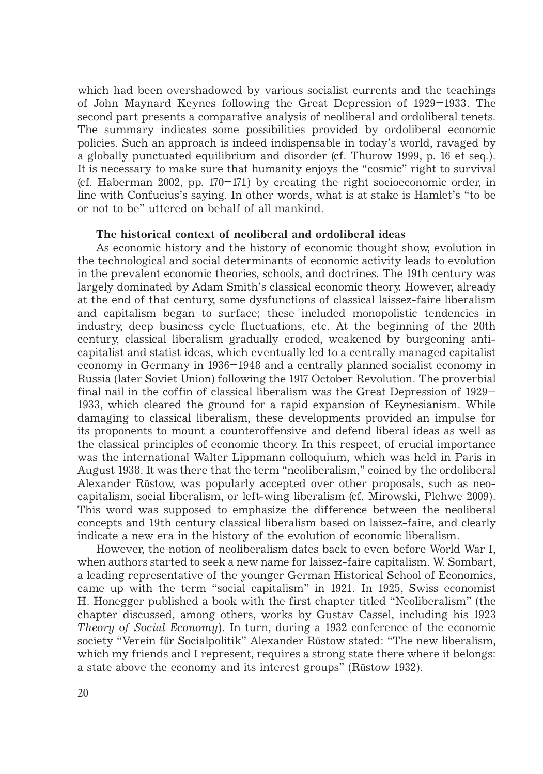which had been overshadowed by various socialist currents and the teachings of John Maynard Keynes following the Great Depression of 1929–1933. The second part presents a comparative analysis of neoliberal and ordoliberal tenets. The summary indicates some possibilities provided by ordoliberal economic policies. Such an approach is indeed indispensable in today's world, ravaged by a globally punctuated equilibrium and disorder (cf. Thurow 1999, p. 16 et seq.). It is necessary to make sure that humanity enjoys the "cosmic" right to survival (cf. Haberman 2002, pp.  $170-171$ ) by creating the right socioeconomic order, in line with Confucius's saying. In other words, what is at stake is Hamlet's "to be or not to be" uttered on behalf of all mankind.

### **The historical context of neoliberal and ordoliberal ideas**

As economic history and the history of economic thought show, evolution in the technological and social determinants of economic activity leads to evolution in the prevalent economic theories, schools, and doctrines. The 19th century was largely dominated by Adam Smith's classical economic theory. However, already at the end of that century, some dysfunctions of classical laissez-faire liberalism and capitalism began to surface; these included monopolistic tendencies in industry, deep business cycle fluctuations, etc. At the beginning of the 20th century, classical liberalism gradually eroded, weakened by burgeoning anticapitalist and statist ideas, which eventually led to a centrally managed capitalist economy in Germany in 1936–1948 and a centrally planned socialist economy in Russia (later Soviet Union) following the 1917 October Revolution. The proverbial final nail in the coffin of classical liberalism was the Great Depression of 1929– 1933, which cleared the ground for a rapid expansion of Keynesianism. While damaging to classical liberalism, these developments provided an impulse for its proponents to mount a counteroffensive and defend liberal ideas as well as the classical principles of economic theory. In this respect, of crucial importance was the international Walter Lippmann colloquium, which was held in Paris in August 1938. It was there that the term "neoliberalism," coined by the ordoliberal Alexander Rüstow, was popularly accepted over other proposals, such as neocapitalism, social liberalism, or left-wing liberalism (cf. Mirowski, Plehwe 2009). This word was supposed to emphasize the difference between the neoliberal concepts and 19th century classical liberalism based on laissez-faire, and clearly indicate a new era in the history of the evolution of economic liberalism.

However, the notion of neoliberalism dates back to even before World War I, when authors started to seek a new name for laissez-faire capitalism. W. Sombart, a leading representative of the younger German Historical School of Economics, came up with the term "social capitalism" in 1921. In 1925, Swiss economist H. Honegger published a book with the first chapter titled "Neoliberalism" (the chapter discussed, among others, works by Gustav Cassel, including his 1923 *Theory of Social Economy*). In turn, during a 1932 conference of the economic society "Verein für Socialpolitik" Alexander Rüstow stated: "The new liberalism, which my friends and I represent, requires a strong state there where it belongs: a state above the economy and its interest groups" (Rüstow 1932).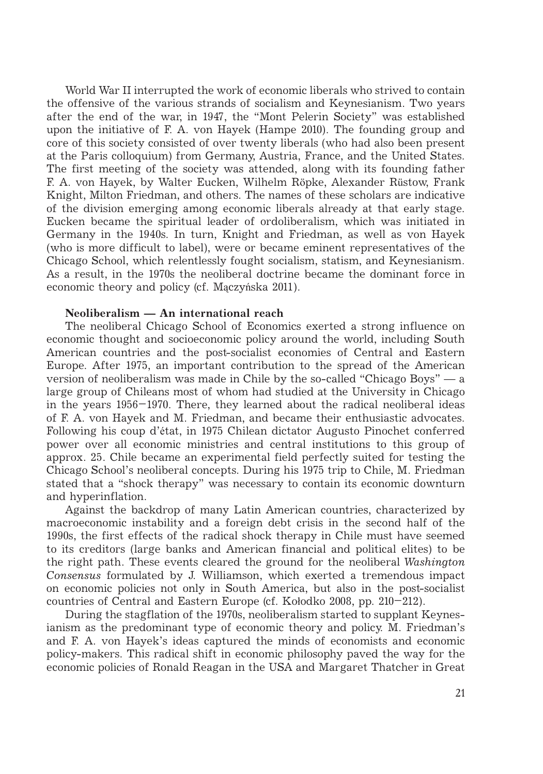World War II interrupted the work of economic liberals who strived to contain the offensive of the various strands of socialism and Keynesianism. Two years after the end of the war, in 1947, the "Mont Pelerin Society" was established upon the initiative of F. A. von Hayek (Hampe 2010). The founding group and core of this society consisted of over twenty liberals (who had also been present at the Paris colloquium) from Germany, Austria, France, and the United States. The first meeting of the society was attended, along with its founding father F. A. von Hayek, by Walter Eucken, Wilhelm Röpke, Alexander Rüstow, Frank Knight, Milton Friedman, and others. The names of these scholars are indicative of the division emerging among economic liberals already at that early stage. Eucken became the spiritual leader of ordoliberalism, which was initiated in Germany in the 1940s. In turn, Knight and Friedman, as well as von Hayek (who is more difficult to label), were or became eminent representatives of the Chicago School, which relentlessly fought socialism, statism, and Keynesianism. As a result, in the 1970s the neoliberal doctrine became the dominant force in economic theory and policy (cf. Mączyńska 2011).

## **Neoliberalism — An international reach**

The neoliberal Chicago School of Economics exerted a strong influence on economic thought and socioeconomic policy around the world, including South American countries and the post-socialist economies of Central and Eastern Europe. After 1975, an important contribution to the spread of the American version of neoliberalism was made in Chile by the so-called "Chicago Boys" — a large group of Chileans most of whom had studied at the University in Chicago in the years 1956–1970. There, they learned about the radical neoliberal ideas of F. A. von Hayek and M. Friedman, and became their enthusiastic advocates. Following his coup d'état, in 1975 Chilean dictator Augusto Pinochet conferred power over all economic ministries and central institutions to this group of approx. 25. Chile became an experimental field perfectly suited for testing the Chicago School's neoliberal concepts. During his 1975 trip to Chile, M. Friedman stated that a "shock therapy" was necessary to contain its economic downturn and hyperinflation.

Against the backdrop of many Latin American countries, characterized by macroeconomic instability and a foreign debt crisis in the second half of the 1990s, the first effects of the radical shock therapy in Chile must have seemed to its creditors (large banks and American financial and political elites) to be the right path. These events cleared the ground for the neoliberal *Washington Consensus* formulated by J. Williamson, which exerted a tremendous impact on economic policies not only in South America, but also in the post-socialist countries of Central and Eastern Europe (cf. Kołodko 2008, pp. 210–212).

During the stagflation of the 1970s, neoliberalism started to supplant Keynesianism as the predominant type of economic theory and policy. M. Friedman's and F. A. von Hayek's ideas captured the minds of economists and economic policy-makers. This radical shift in economic philosophy paved the way for the economic policies of Ronald Reagan in the USA and Margaret Thatcher in Great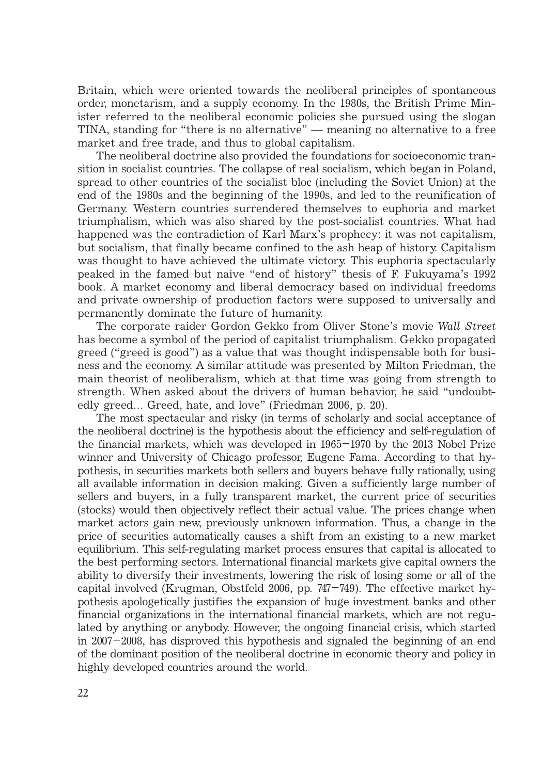Britain, which were oriented towards the neoliberal principles of spontaneous order, monetarism, and a supply economy. In the 1980s, the British Prime Minister referred to the neoliberal economic policies she pursued using the slogan TINA, standing for "there is no alternative" — meaning no alternative to a free market and free trade, and thus to global capitalism.

The neoliberal doctrine also provided the foundations for socioeconomic transition in socialist countries. The collapse of real socialism, which began in Poland, spread to other countries of the socialist bloc (including the Soviet Union) at the end of the 1980s and the beginning of the 1990s, and led to the reunification of Germany. Western countries surrendered themselves to euphoria and market triumphalism, which was also shared by the post-socialist countries. What had happened was the contradiction of Karl Marx's prophecy: it was not capitalism, but socialism, that finally became confined to the ash heap of history. Capitalism was thought to have achieved the ultimate victory. This euphoria spectacularly peaked in the famed but naive "end of history" thesis of F. Fukuyama's 1992 book. A market economy and liberal democracy based on individual freedoms and private ownership of production factors were supposed to universally and permanently dominate the future of humanity.

The corporate raider Gordon Gekko from Oliver Stone's movie *Wall Street* has become a symbol of the period of capitalist triumphalism. Gekko propagated greed ("greed is good") as a value that was thought indispensable both for business and the economy. A similar attitude was presented by Milton Friedman, the main theorist of neoliberalism, which at that time was going from strength to strength. When asked about the drivers of human behavior, he said "undoubtedly greed... Greed, hate, and love" (Friedman 2006, p. 20).

The most spectacular and risky (in terms of scholarly and social acceptance of the neoliberal doctrine) is the hypothesis about the efficiency and self-regulation of the financial markets, which was developed in 1965–1970 by the 2013 Nobel Prize winner and University of Chicago professor, Eugene Fama. According to that hypothesis, in securities markets both sellers and buyers behave fully rationally, using all available information in decision making. Given a sufficiently large number of sellers and buyers, in a fully transparent market, the current price of securities (stocks) would then objectively reflect their actual value. The prices change when market actors gain new, previously unknown information. Thus, a change in the price of securities automatically causes a shift from an existing to a new market equilibrium. This self-regulating market process ensures that capital is allocated to the best performing sectors. International financial markets give capital owners the ability to diversify their investments, lowering the risk of losing some or all of the capital involved (Krugman, Obstfeld 2006, pp. 747–749). The effective market hypothesis apologetically justifies the expansion of huge investment banks and other financial organizations in the international financial markets, which are not regulated by anything or anybody. However, the ongoing financial crisis, which started in 2007–2008, has disproved this hypothesis and signaled the beginning of an end of the dominant position of the neoliberal doctrine in economic theory and policy in highly developed countries around the world.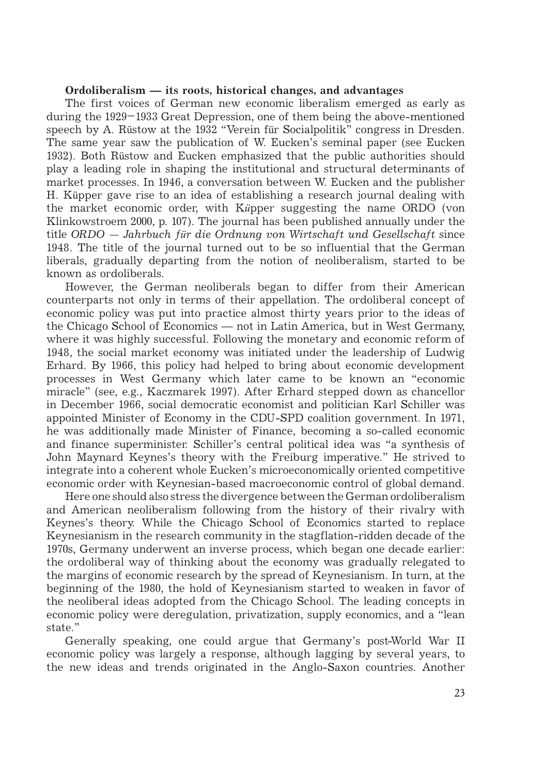## **Ordoliberalism — its roots, historical changes, and advantages**

The first voices of German new economic liberalism emerged as early as during the 1929–1933 Great Depression, one of them being the above-mentioned speech by A. Rüstow at the 1932 "Verein für Socialpolitik" congress in Dresden. The same year saw the publication of W. Eucken's seminal paper (see Eucken 1932). Both Rüstow and Eucken emphasized that the public authorities should play a leading role in shaping the institutional and structural determinants of market processes. In 1946, a conversation between W. Eucken and the publisher H. Küpper gave rise to an idea of establishing a research journal dealing with the market economic order, with K*ü*pper suggesting the name ORDO (von Klinkowstroem 2000, p. 107). The journal has been published annually under the title *ORDO — Jahrbuch für die Ordnung von Wirtschaft und Gesellschaft* since 1948. The title of the journal turned out to be so influential that the German liberals, gradually departing from the notion of neoliberalism, started to be known as ordoliberals.

However, the German neoliberals began to differ from their American counterparts not only in terms of their appellation. The ordoliberal concept of economic policy was put into practice almost thirty years prior to the ideas of the Chicago School of Economics — not in Latin America, but in West Germany, where it was highly successful. Following the monetary and economic reform of 1948, the social market economy was initiated under the leadership of Ludwig Erhard. By 1966, this policy had helped to bring about economic development processes in West Germany which later came to be known an "economic miracle" (see, e.g., Kaczmarek 1997). After Erhard stepped down as chancellor in December 1966, social democratic economist and politician Karl Schiller was appointed Minister of Economy in the CDU-SPD coalition government. In 1971, he was additionally made Minister of Finance, becoming a so-called economic and finance superminister. Schiller's central political idea was "a synthesis of John Maynard Keynes's theory with the Freiburg imperative." He strived to integrate into a coherent whole Eucken's microeconomically oriented competitive economic order with Keynesian-based macroeconomic control of global demand.

Here one should also stress the divergence between the German ordoliberalism and American neoliberalism following from the history of their rivalry with Keynes's theory. While the Chicago School of Economics started to replace Keynesianism in the research community in the stagflation-ridden decade of the 1970s, Germany underwent an inverse process, which began one decade earlier: the ordoliberal way of thinking about the economy was gradually relegated to the margins of economic research by the spread of Keynesianism. In turn, at the beginning of the 1980, the hold of Keynesianism started to weaken in favor of the neoliberal ideas adopted from the Chicago School. The leading concepts in economic policy were deregulation, privatization, supply economics, and a "lean state."

Generally speaking, one could argue that Germany's post-World War II economic policy was largely a response, although lagging by several years, to the new ideas and trends originated in the Anglo-Saxon countries. Another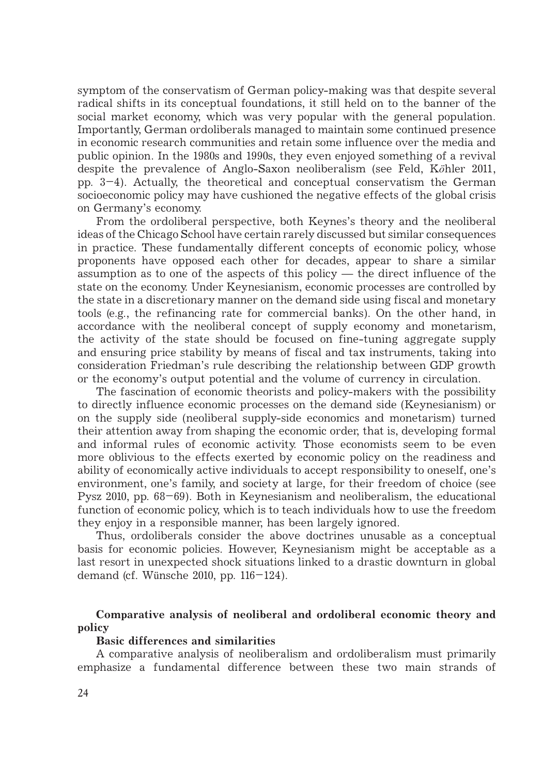symptom of the conservatism of German policy-making was that despite several radical shifts in its conceptual foundations, it still held on to the banner of the social market economy, which was very popular with the general population. Importantly, German ordoliberals managed to maintain some continued presence in economic research communities and retain some influence over the media and public opinion. In the 1980s and 1990s, they even enjoyed something of a revival despite the prevalence of Anglo-Saxon neoliberalism (see Feld, K*ö*hler 2011, pp. 3–4). Actually, the theoretical and conceptual conservatism the German socioeconomic policy may have cushioned the negative effects of the global crisis on Germany's economy.

From the ordoliberal perspective, both Keynes's theory and the neoliberal ideas of the Chicago School have certain rarely discussed but similar consequences in practice. These fundamentally different concepts of economic policy, whose proponents have opposed each other for decades, appear to share a similar assumption as to one of the aspects of this policy — the direct influence of the state on the economy. Under Keynesianism, economic processes are controlled by the state in a discretionary manner on the demand side using fiscal and monetary tools (e.g., the refinancing rate for commercial banks). On the other hand, in accordance with the neoliberal concept of supply economy and monetarism, the activity of the state should be focused on fine-tuning aggregate supply and ensuring price stability by means of fiscal and tax instruments, taking into consideration Friedman's rule describing the relationship between GDP growth or the economy's output potential and the volume of currency in circulation.

The fascination of economic theorists and policy-makers with the possibility to directly influence economic processes on the demand side (Keynesianism) or on the supply side (neoliberal supply-side economics and monetarism) turned their attention away from shaping the economic order, that is, developing formal and informal rules of economic activity. Those economists seem to be even more oblivious to the effects exerted by economic policy on the readiness and ability of economically active individuals to accept responsibility to oneself, one's environment, one's family, and society at large, for their freedom of choice (see Pysz 2010, pp. 68–69). Both in Keynesianism and neoliberalism, the educational function of economic policy, which is to teach individuals how to use the freedom they enjoy in a responsible manner, has been largely ignored.

Thus, ordoliberals consider the above doctrines unusable as a conceptual basis for economic policies. However, Keynesianism might be acceptable as a last resort in unexpected shock situations linked to a drastic downturn in global demand (cf. Wünsche 2010, pp. 116–124).

**Comparative analysis of neoliberal and ordoliberal economic theory and policy**

#### **Basic differences and similarities**

A comparative analysis of neoliberalism and ordoliberalism must primarily emphasize a fundamental difference between these two main strands of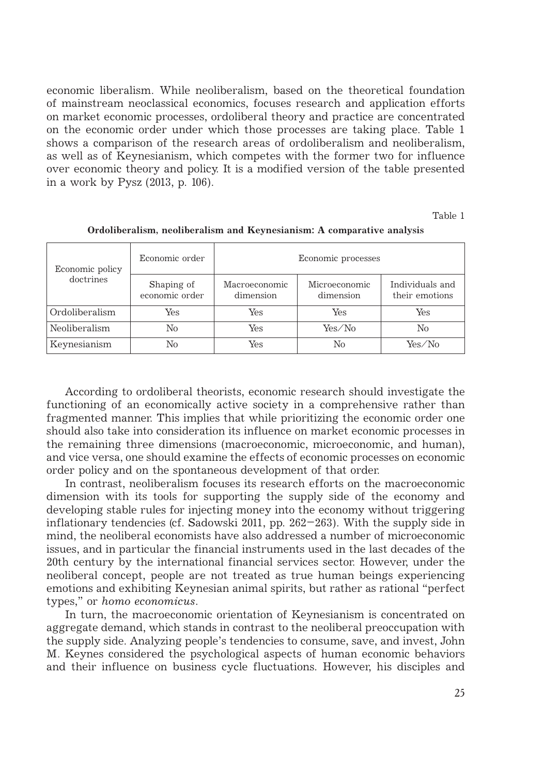economic liberalism. While neoliberalism, based on the theoretical foundation of mainstream neoclassical economics, focuses research and application efforts on market economic processes, ordoliberal theory and practice are concentrated on the economic order under which those processes are taking place. Table 1 shows a comparison of the research areas of ordoliberalism and neoliberalism, as well as of Keynesianism, which competes with the former two for influence over economic theory and policy. It is a modified version of the table presented in a work by Pysz (2013, p. 106).

Table 1

| Economic policy<br>doctrines | Economic order               | Economic processes         |                            |                                   |
|------------------------------|------------------------------|----------------------------|----------------------------|-----------------------------------|
|                              | Shaping of<br>economic order | Macroeconomic<br>dimension | Microeconomic<br>dimension | Individuals and<br>their emotions |
| Ordoliberalism               | Yes                          | Yes                        | Yes                        | Yes                               |
| Neoliberalism                | No                           | Yes                        | Yes/No                     | No                                |
| Keynesianism                 | No                           | Yes                        | No                         | Yes/No                            |

**Ordoliberalism, neoliberalism and Keynesianism: A comparative analysis**

According to ordoliberal theorists, economic research should investigate the functioning of an economically active society in a comprehensive rather than fragmented manner. This implies that while prioritizing the economic order one should also take into consideration its influence on market economic processes in the remaining three dimensions (macroeconomic, microeconomic, and human), and vice versa, one should examine the effects of economic processes on economic order policy and on the spontaneous development of that order.

In contrast, neoliberalism focuses its research efforts on the macroeconomic dimension with its tools for supporting the supply side of the economy and developing stable rules for injecting money into the economy without triggering inflationary tendencies (cf. Sadowski 2011, pp. 262–263). With the supply side in mind, the neoliberal economists have also addressed a number of microeconomic issues, and in particular the financial instruments used in the last decades of the 20th century by the international financial services sector. However, under the neoliberal concept, people are not treated as true human beings experiencing emotions and exhibiting Keynesian animal spirits, but rather as rational "perfect types," or *homo economicus*.

In turn, the macroeconomic orientation of Keynesianism is concentrated on aggregate demand, which stands in contrast to the neoliberal preoccupation with the supply side. Analyzing people's tendencies to consume, save, and invest, John M. Keynes considered the psychological aspects of human economic behaviors and their influence on business cycle fluctuations. However, his disciples and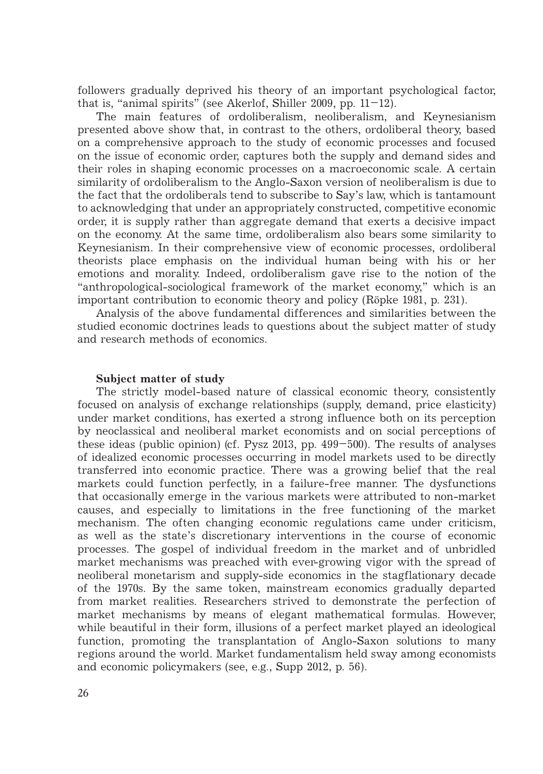followers gradually deprived his theory of an important psychological factor, that is, "animal spirits" (see Akerlof, Shiller 2009, pp.  $11-12$ ).

The main features of ordoliberalism, neoliberalism, and Keynesianism presented above show that, in contrast to the others, ordoliberal theory, based on a comprehensive approach to the study of economic processes and focused on the issue of economic order, captures both the supply and demand sides and their roles in shaping economic processes on a macroeconomic scale. A certain similarity of ordoliberalism to the Anglo-Saxon version of neoliberalism is due to the fact that the ordoliberals tend to subscribe to Say's law, which is tantamount to acknowledging that under an appropriately constructed, competitive economic order, it is supply rather than aggregate demand that exerts a decisive impact on the economy. At the same time, ordoliberalism also bears some similarity to Keynesianism. In their comprehensive view of economic processes, ordoliberal theorists place emphasis on the individual human being with his or her emotions and morality. Indeed, ordoliberalism gave rise to the notion of the "anthropological-sociological framework of the market economy," which is an important contribution to economic theory and policy (Röpke 1981, p. 231).

Analysis of the above fundamental differences and similarities between the studied economic doctrines leads to questions about the subject matter of study and research methods of economics.

#### **Subject matter of study**

The strictly model-based nature of classical economic theory, consistently focused on analysis of exchange relationships (supply, demand, price elasticity) under market conditions, has exerted a strong influence both on its perception by neoclassical and neoliberal market economists and on social perceptions of these ideas (public opinion) (cf. Pysz 2013, pp. 499–500). The results of analyses of idealized economic processes occurring in model markets used to be directly transferred into economic practice. There was a growing belief that the real markets could function perfectly, in a failure-free manner. The dysfunctions that occasionally emerge in the various markets were attributed to non-market causes, and especially to limitations in the free functioning of the market mechanism. The often changing economic regulations came under criticism, as well as the state's discretionary interventions in the course of economic processes. The gospel of individual freedom in the market and of unbridled market mechanisms was preached with ever-growing vigor with the spread of neoliberal monetarism and supply-side economics in the stagflationary decade of the 1970s. By the same token, mainstream economics gradually departed from market realities. Researchers strived to demonstrate the perfection of market mechanisms by means of elegant mathematical formulas. However, while beautiful in their form, illusions of a perfect market played an ideological function, promoting the transplantation of Anglo-Saxon solutions to many regions around the world. Market fundamentalism held sway among economists and economic policymakers (see, e.g., Supp 2012, p. 56).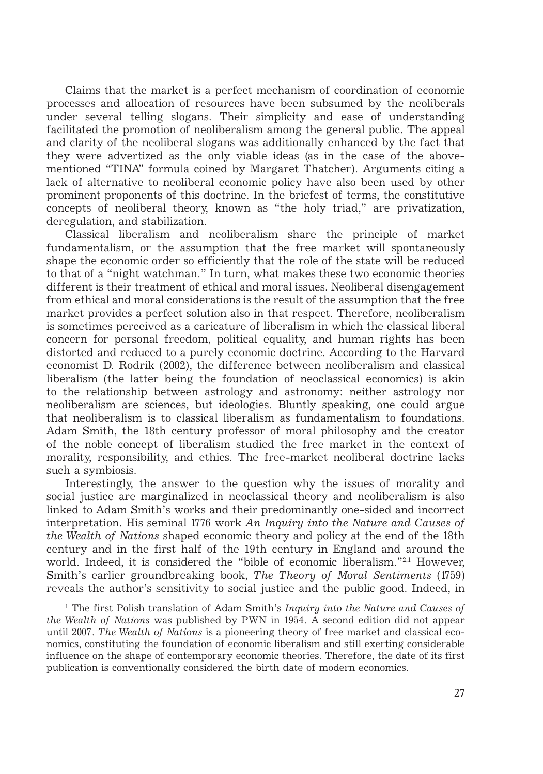Claims that the market is a perfect mechanism of coordination of economic processes and allocation of resources have been subsumed by the neoliberals under several telling slogans. Their simplicity and ease of understanding facilitated the promotion of neoliberalism among the general public. The appeal and clarity of the neoliberal slogans was additionally enhanced by the fact that they were advertized as the only viable ideas (as in the case of the abovementioned "TINA" formula coined by Margaret Thatcher). Arguments citing a lack of alternative to neoliberal economic policy have also been used by other prominent proponents of this doctrine. In the briefest of terms, the constitutive concepts of neoliberal theory, known as "the holy triad," are privatization, deregulation, and stabilization.

Classical liberalism and neoliberalism share the principle of market fundamentalism, or the assumption that the free market will spontaneously shape the economic order so efficiently that the role of the state will be reduced to that of a "night watchman." In turn, what makes these two economic theories different is their treatment of ethical and moral issues. Neoliberal disengagement from ethical and moral considerations is the result of the assumption that the free market provides a perfect solution also in that respect. Therefore, neoliberalism is sometimes perceived as a caricature of liberalism in which the classical liberal concern for personal freedom, political equality, and human rights has been distorted and reduced to a purely economic doctrine. According to the Harvard economist D. Rodrik (2002), the difference between neoliberalism and classical liberalism (the latter being the foundation of neoclassical economics) is akin to the relationship between astrology and astronomy: neither astrology nor neoliberalism are sciences, but ideologies. Bluntly speaking, one could argue that neoliberalism is to classical liberalism as fundamentalism to foundations. Adam Smith, the 18th century professor of moral philosophy and the creator of the noble concept of liberalism studied the free market in the context of morality, responsibility, and ethics. The free-market neoliberal doctrine lacks such a symbiosis.

Interestingly, the answer to the question why the issues of morality and social justice are marginalized in neoclassical theory and neoliberalism is also linked to Adam Smith's works and their predominantly one-sided and incorrect interpretation. His seminal 1776 work *An Inquiry into the Nature and Causes of the Wealth of Nations* shaped economic theory and policy at the end of the 18th century and in the first half of the 19th century in England and around the world. Indeed, it is considered the "bible of economic liberalism."<sup>2,1</sup> However, Smith's earlier groundbreaking book, *The Theory of Moral Sentiments* (1759) reveals the author's sensitivity to social justice and the public good. Indeed, in

<sup>1</sup> The first Polish translation of Adam Smith's *Inquiry into the Nature and Causes of the Wealth of Nations* was published by PWN in 1954. A second edition did not appear until 2007. *The Wealth of Nations* is a pioneering theory of free market and classical economics, constituting the foundation of economic liberalism and still exerting considerable influence on the shape of contemporary economic theories. Therefore, the date of its first publication is conventionally considered the birth date of modern economics.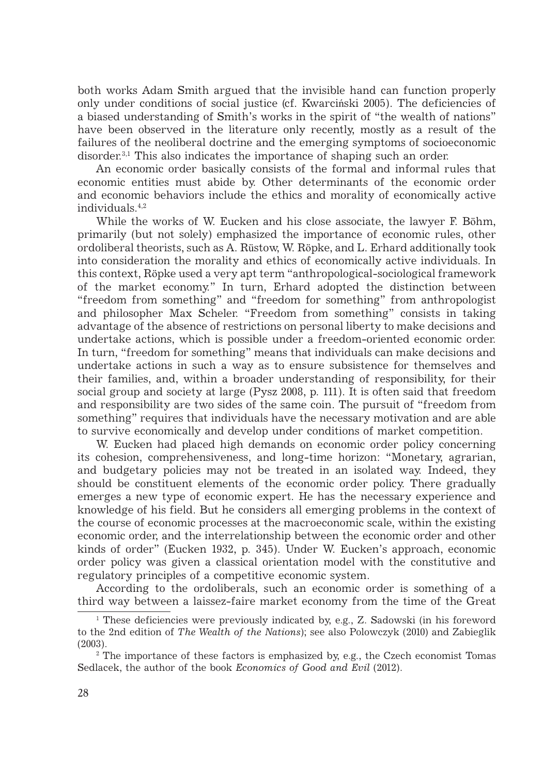both works Adam Smith argued that the invisible hand can function properly only under conditions of social justice (cf. Kwarciński 2005). The deficiencies of a biased understanding of Smith's works in the spirit of "the wealth of nations" have been observed in the literature only recently, mostly as a result of the failures of the neoliberal doctrine and the emerging symptoms of socioeconomic disorder.3,1 This also indicates the importance of shaping such an order.

An economic order basically consists of the formal and informal rules that economic entities must abide by. Other determinants of the economic order and economic behaviors include the ethics and morality of economically active individuals.4,2

While the works of W. Eucken and his close associate, the lawyer F. Böhm, primarily (but not solely) emphasized the importance of economic rules, other ordoliberal theorists, such as A. Rüstow, W. Röpke, and L. Erhard additionally took into consideration the morality and ethics of economically active individuals. In this context, Röpke used a very apt term "anthropological-sociological framework of the market economy." In turn, Erhard adopted the distinction between "freedom from something" and "freedom for something" from anthropologist and philosopher Max Scheler. "Freedom from something" consists in taking advantage of the absence of restrictions on personal liberty to make decisions and undertake actions, which is possible under a freedom-oriented economic order. In turn, "freedom for something" means that individuals can make decisions and undertake actions in such a way as to ensure subsistence for themselves and their families, and, within a broader understanding of responsibility, for their social group and society at large (Pysz 2008, p. 111). It is often said that freedom and responsibility are two sides of the same coin. The pursuit of "freedom from something" requires that individuals have the necessary motivation and are able to survive economically and develop under conditions of market competition.

W. Eucken had placed high demands on economic order policy concerning its cohesion, comprehensiveness, and long-time horizon: "Monetary, agrarian, and budgetary policies may not be treated in an isolated way. Indeed, they should be constituent elements of the economic order policy. There gradually emerges a new type of economic expert. He has the necessary experience and knowledge of his field. But he considers all emerging problems in the context of the course of economic processes at the macroeconomic scale, within the existing economic order, and the interrelationship between the economic order and other kinds of order" (Eucken 1932, p. 345). Under W. Eucken's approach, economic order policy was given a classical orientation model with the constitutive and regulatory principles of a competitive economic system.

According to the ordoliberals, such an economic order is something of a third way between a laissez-faire market economy from the time of the Great

<sup>1</sup> These deficiencies were previously indicated by, e.g., Z. Sadowski (in his foreword to the 2nd edition of *The Wealth of the Nations*); see also Polowczyk (2010) and Zabieglik (2003).

<sup>&</sup>lt;sup>2</sup> The importance of these factors is emphasized by, e.g., the Czech economist Tomas Sedlacek, the author of the book *Economics of Good and Evil* (2012).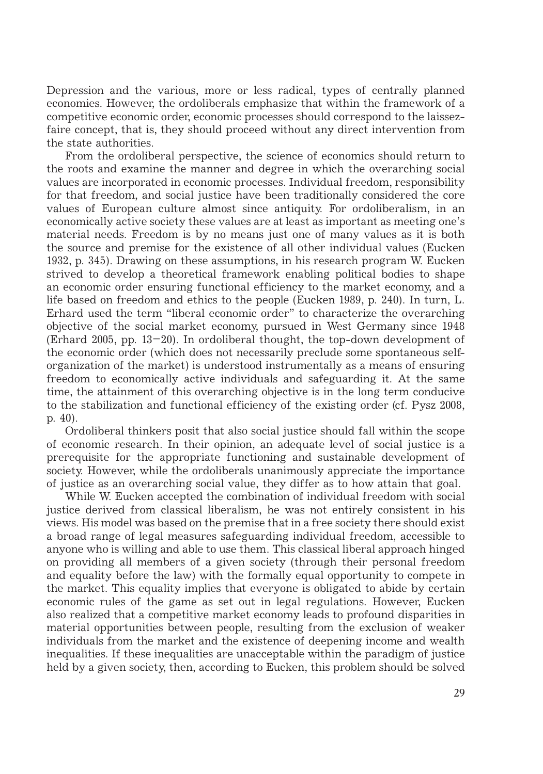Depression and the various, more or less radical, types of centrally planned economies. However, the ordoliberals emphasize that within the framework of a competitive economic order, economic processes should correspond to the laissezfaire concept, that is, they should proceed without any direct intervention from the state authorities.

From the ordoliberal perspective, the science of economics should return to the roots and examine the manner and degree in which the overarching social values are incorporated in economic processes. Individual freedom, responsibility for that freedom, and social justice have been traditionally considered the core values of European culture almost since antiquity. For ordoliberalism, in an economically active society these values are at least as important as meeting one's material needs. Freedom is by no means just one of many values as it is both the source and premise for the existence of all other individual values (Eucken 1932, p. 345). Drawing on these assumptions, in his research program W. Eucken strived to develop a theoretical framework enabling political bodies to shape an economic order ensuring functional efficiency to the market economy, and a life based on freedom and ethics to the people (Eucken 1989, p. 240). In turn, L. Erhard used the term "liberal economic order" to characterize the overarching objective of the social market economy, pursued in West Germany since 1948 (Erhard 2005, pp. 13–20). In ordoliberal thought, the top-down development of the economic order (which does not necessarily preclude some spontaneous selforganization of the market) is understood instrumentally as a means of ensuring freedom to economically active individuals and safeguarding it. At the same time, the attainment of this overarching objective is in the long term conducive to the stabilization and functional efficiency of the existing order (cf. Pysz 2008, p. 40).

Ordoliberal thinkers posit that also social justice should fall within the scope of economic research. In their opinion, an adequate level of social justice is a prerequisite for the appropriate functioning and sustainable development of society. However, while the ordoliberals unanimously appreciate the importance of justice as an overarching social value, they differ as to how attain that goal.

While W. Eucken accepted the combination of individual freedom with social justice derived from classical liberalism, he was not entirely consistent in his views. His model was based on the premise that in a free society there should exist a broad range of legal measures safeguarding individual freedom, accessible to anyone who is willing and able to use them. This classical liberal approach hinged on providing all members of a given society (through their personal freedom and equality before the law) with the formally equal opportunity to compete in the market. This equality implies that everyone is obligated to abide by certain economic rules of the game as set out in legal regulations. However, Eucken also realized that a competitive market economy leads to profound disparities in material opportunities between people, resulting from the exclusion of weaker individuals from the market and the existence of deepening income and wealth inequalities. If these inequalities are unacceptable within the paradigm of justice held by a given society, then, according to Eucken, this problem should be solved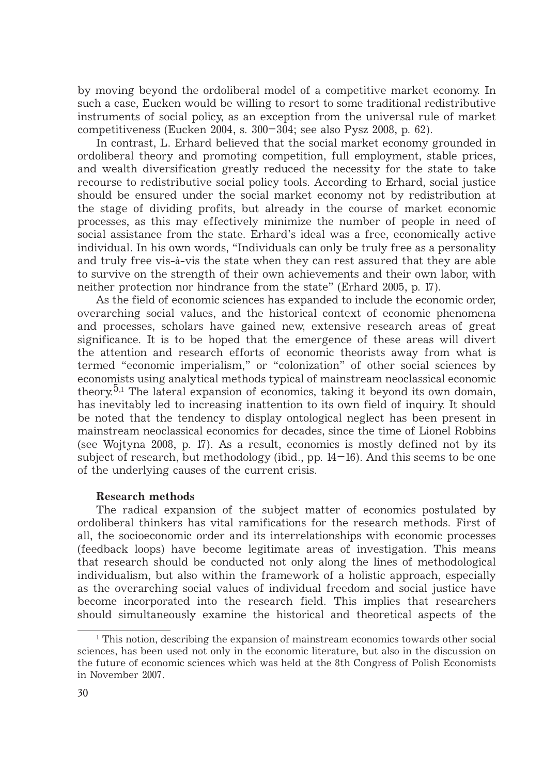by moving beyond the ordoliberal model of a competitive market economy. In such a case, Eucken would be willing to resort to some traditional redistributive instruments of social policy, as an exception from the universal rule of market competitiveness (Eucken 2004, s. 300–304; see also Pysz 2008, p. 62).

In contrast, L. Erhard believed that the social market economy grounded in ordoliberal theory and promoting competition, full employment, stable prices, and wealth diversification greatly reduced the necessity for the state to take recourse to redistributive social policy tools. According to Erhard, social justice should be ensured under the social market economy not by redistribution at the stage of dividing profits, but already in the course of market economic processes, as this may effectively minimize the number of people in need of social assistance from the state. Erhard's ideal was a free, economically active individual. In his own words, "Individuals can only be truly free as a personality and truly free vis-à-vis the state when they can rest assured that they are able to survive on the strength of their own achievements and their own labor, with neither protection nor hindrance from the state" (Erhard 2005, p. 17)*.*

As the field of economic sciences has expanded to include the economic order, overarching social values, and the historical context of economic phenomena and processes, scholars have gained new, extensive research areas of great significance. It is to be hoped that the emergence of these areas will divert the attention and research efforts of economic theorists away from what is termed "economic imperialism," or "colonization" of other social sciences by economists using analytical methods typical of mainstream neoclassical economic theory.<sup>5,1</sup> The lateral expansion of economics, taking it beyond its own domain, has inevitably led to increasing inattention to its own field of inquiry. It should be noted that the tendency to display ontological neglect has been present in mainstream neoclassical economics for decades, since the time of Lionel Robbins (see Wojtyna 2008, p. 17). As a result, economics is mostly defined not by its subject of research, but methodology (ibid., pp.  $14-16$ ). And this seems to be one of the underlying causes of the current crisis.

## **Research methods**

The radical expansion of the subject matter of economics postulated by ordoliberal thinkers has vital ramifications for the research methods. First of all, the socioeconomic order and its interrelationships with economic processes (feedback loops) have become legitimate areas of investigation. This means that research should be conducted not only along the lines of methodological individualism, but also within the framework of a holistic approach, especially as the overarching social values of individual freedom and social justice have become incorporated into the research field. This implies that researchers should simultaneously examine the historical and theoretical aspects of the

<sup>&</sup>lt;sup>1</sup> This notion, describing the expansion of mainstream economics towards other social sciences, has been used not only in the economic literature, but also in the discussion on the future of economic sciences which was held at the 8th Congress of Polish Economists in November 2007.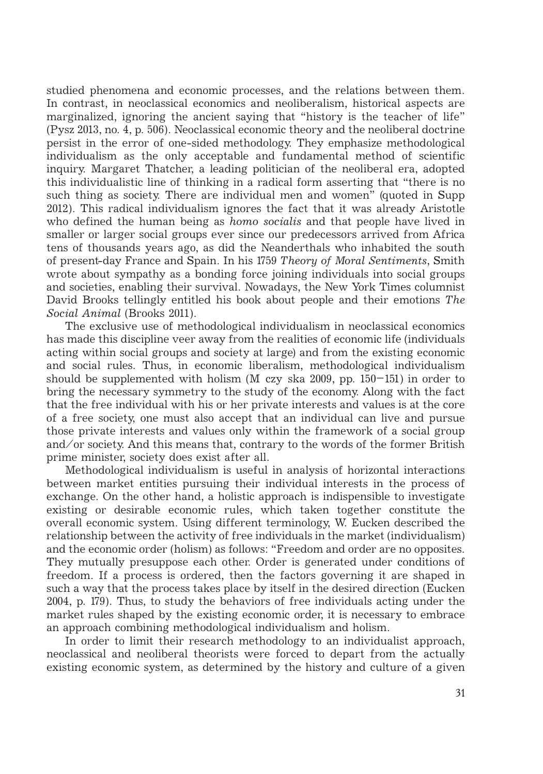studied phenomena and economic processes, and the relations between them. In contrast, in neoclassical economics and neoliberalism, historical aspects are marginalized, ignoring the ancient saying that "history is the teacher of life" (Pysz 2013, no. 4, p. 506). Neoclassical economic theory and the neoliberal doctrine persist in the error of one-sided methodology. They emphasize methodological individualism as the only acceptable and fundamental method of scientific inquiry. Margaret Thatcher, a leading politician of the neoliberal era, adopted this individualistic line of thinking in a radical form asserting that "there is no such thing as society. There are individual men and women" (quoted in Supp 2012). This radical individualism ignores the fact that it was already Aristotle who defined the human being as *homo socialis* and that people have lived in smaller or larger social groups ever since our predecessors arrived from Africa tens of thousands years ago, as did the Neanderthals who inhabited the south of present-day France and Spain. In his 1759 *Theory of Moral Sentiments*, Smith wrote about sympathy as a bonding force joining individuals into social groups and societies, enabling their survival. Nowadays, the New York Times columnist David Brooks tellingly entitled his book about people and their emotions *The Social Animal* (Brooks 2011).

The exclusive use of methodological individualism in neoclassical economics has made this discipline veer away from the realities of economic life (individuals acting within social groups and society at large) and from the existing economic and social rules. Thus, in economic liberalism, methodological individualism should be supplemented with holism (M czy ska  $2009$ , pp. 150–151) in order to bring the necessary symmetry to the study of the economy. Along with the fact that the free individual with his or her private interests and values is at the core of a free society, one must also accept that an individual can live and pursue those private interests and values only within the framework of a social group and/or society. And this means that, contrary to the words of the former British prime minister, society does exist after all.

Methodological individualism is useful in analysis of horizontal interactions between market entities pursuing their individual interests in the process of exchange. On the other hand, a holistic approach is indispensible to investigate existing or desirable economic rules, which taken together constitute the overall economic system. Using different terminology, W. Eucken described the relationship between the activity of free individuals in the market (individualism) and the economic order (holism) as follows: "Freedom and order are no opposites. They mutually presuppose each other. Order is generated under conditions of freedom. If a process is ordered, then the factors governing it are shaped in such a way that the process takes place by itself in the desired direction (Eucken 2004, p. 179). Thus, to study the behaviors of free individuals acting under the market rules shaped by the existing economic order, it is necessary to embrace an approach combining methodological individualism and holism.

In order to limit their research methodology to an individualist approach, neoclassical and neoliberal theorists were forced to depart from the actually existing economic system, as determined by the history and culture of a given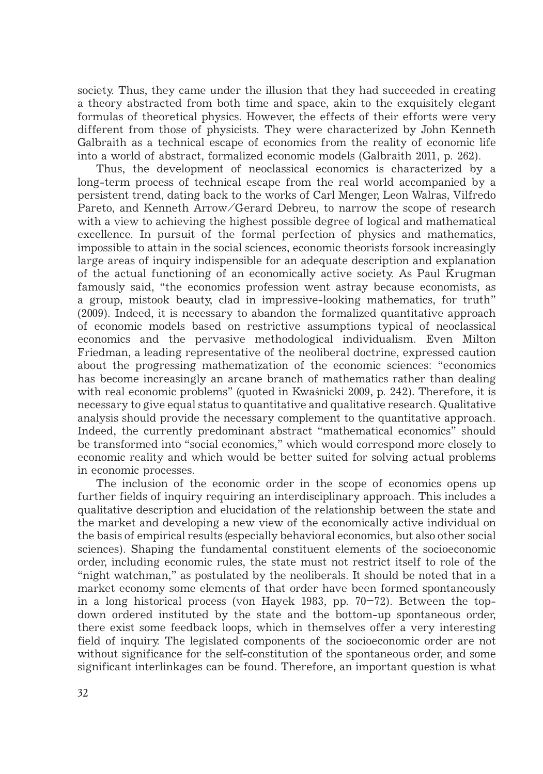society. Thus, they came under the illusion that they had succeeded in creating a theory abstracted from both time and space, akin to the exquisitely elegant formulas of theoretical physics. However, the effects of their efforts were very different from those of physicists. They were characterized by John Kenneth Galbraith as a technical escape of economics from the reality of economic life into a world of abstract, formalized economic models (Galbraith 2011, p. 262).

Thus, the development of neoclassical economics is characterized by a long-term process of technical escape from the real world accompanied by a persistent trend, dating back to the works of Carl Menger, Leon Walras, Vilfredo Pareto, and Kenneth Arrow/Gerard Debreu, to narrow the scope of research with a view to achieving the highest possible degree of logical and mathematical excellence. In pursuit of the formal perfection of physics and mathematics, impossible to attain in the social sciences, economic theorists forsook increasingly large areas of inquiry indispensible for an adequate description and explanation of the actual functioning of an economically active society. As Paul Krugman famously said, "the economics profession went astray because economists, as a group, mistook beauty, clad in impressive-looking mathematics, for truth" (2009). Indeed, it is necessary to abandon the formalized quantitative approach of economic models based on restrictive assumptions typical of neoclassical economics and the pervasive methodological individualism. Even Milton Friedman, a leading representative of the neoliberal doctrine, expressed caution about the progressing mathematization of the economic sciences: "economics has become increasingly an arcane branch of mathematics rather than dealing with real economic problems" (quoted in Kwaśnicki 2009, p. 242)*.* Therefore, it is necessary to give equal status to quantitative and qualitative research. Qualitative analysis should provide the necessary complement to the quantitative approach. Indeed, the currently predominant abstract "mathematical economics" should be transformed into "social economics," which would correspond more closely to economic reality and which would be better suited for solving actual problems in economic processes.

The inclusion of the economic order in the scope of economics opens up further fields of inquiry requiring an interdisciplinary approach. This includes a qualitative description and elucidation of the relationship between the state and the market and developing a new view of the economically active individual on the basis of empirical results (especially behavioral economics, but also other social sciences). Shaping the fundamental constituent elements of the socioeconomic order, including economic rules, the state must not restrict itself to role of the "night watchman," as postulated by the neoliberals. It should be noted that in a market economy some elements of that order have been formed spontaneously in a long historical process (von Hayek 1983, pp. 70–72). Between the topdown ordered instituted by the state and the bottom-up spontaneous order, there exist some feedback loops, which in themselves offer a very interesting field of inquiry. The legislated components of the socioeconomic order are not without significance for the self-constitution of the spontaneous order, and some significant interlinkages can be found. Therefore, an important question is what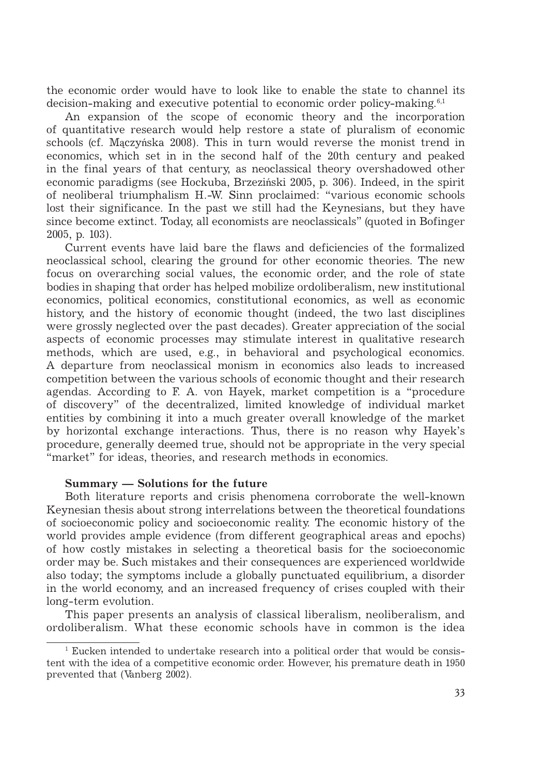the economic order would have to look like to enable the state to channel its decision-making and executive potential to economic order policy-making.6,1

An expansion of the scope of economic theory and the incorporation of quantitative research would help restore a state of pluralism of economic schools (cf. Mączyńska 2008). This in turn would reverse the monist trend in economics, which set in in the second half of the 20th century and peaked in the final years of that century, as neoclassical theory overshadowed other economic paradigms (see Hockuba, Brzeziński 2005, p. 306). Indeed, in the spirit of neoliberal triumphalism H.-W. Sinn proclaimed: "various economic schools lost their significance. In the past we still had the Keynesians, but they have since become extinct. Today, all economists are neoclassicals" (quoted in Bofinger 2005, p. 103).

Current events have laid bare the flaws and deficiencies of the formalized neoclassical school, clearing the ground for other economic theories. The new focus on overarching social values, the economic order, and the role of state bodies in shaping that order has helped mobilize ordoliberalism, new institutional economics, political economics, constitutional economics, as well as economic history, and the history of economic thought (indeed, the two last disciplines were grossly neglected over the past decades). Greater appreciation of the social aspects of economic processes may stimulate interest in qualitative research methods, which are used, e.g., in behavioral and psychological economics. A departure from neoclassical monism in economics also leads to increased competition between the various schools of economic thought and their research agendas. According to F. A. von Hayek, market competition is a "procedure of discovery" of the decentralized, limited knowledge of individual market entities by combining it into a much greater overall knowledge of the market by horizontal exchange interactions. Thus, there is no reason why Hayek's procedure, generally deemed true, should not be appropriate in the very special "market" for ideas, theories, and research methods in economics.

#### **Summary — Solutions for the future**

Both literature reports and crisis phenomena corroborate the well-known Keynesian thesis about strong interrelations between the theoretical foundations of socioeconomic policy and socioeconomic reality. The economic history of the world provides ample evidence (from different geographical areas and epochs) of how costly mistakes in selecting a theoretical basis for the socioeconomic order may be. Such mistakes and their consequences are experienced worldwide also today; the symptoms include a globally punctuated equilibrium, a disorder in the world economy, and an increased frequency of crises coupled with their long-term evolution.

This paper presents an analysis of classical liberalism, neoliberalism, and ordoliberalism. What these economic schools have in common is the idea

<sup>1</sup> Eucken intended to undertake research into a political order that would be consistent with the idea of a competitive economic order. However, his premature death in 1950 prevented that (Vanberg 2002).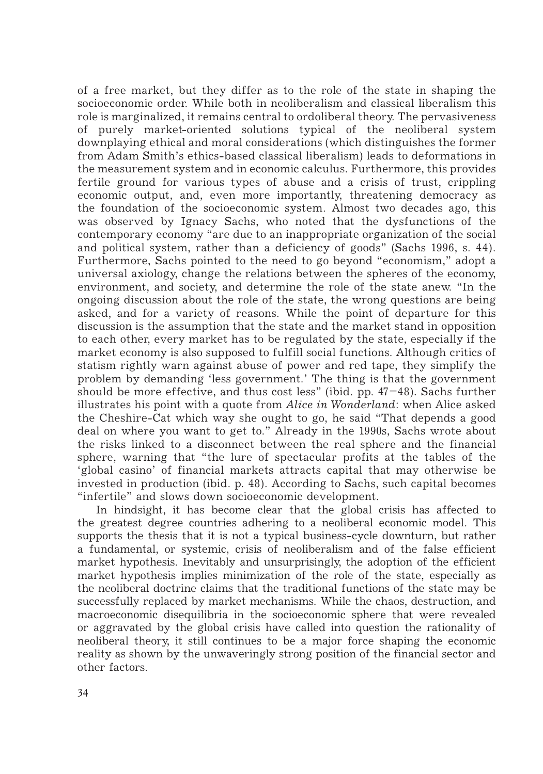of a free market, but they differ as to the role of the state in shaping the socioeconomic order. While both in neoliberalism and classical liberalism this role is marginalized, it remains central to ordoliberal theory. The pervasiveness of purely market-oriented solutions typical of the neoliberal system downplaying ethical and moral considerations (which distinguishes the former from Adam Smith's ethics-based classical liberalism) leads to deformations in the measurement system and in economic calculus. Furthermore, this provides fertile ground for various types of abuse and a crisis of trust, crippling economic output, and, even more importantly, threatening democracy as the foundation of the socioeconomic system. Almost two decades ago, this was observed by Ignacy Sachs, who noted that the dysfunctions of the contemporary economy "are due to an inappropriate organization of the social and political system, rather than a deficiency of goods" (Sachs 1996, s. 44). Furthermore, Sachs pointed to the need to go beyond "economism," adopt a universal axiology, change the relations between the spheres of the economy, environment, and society, and determine the role of the state anew. "In the ongoing discussion about the role of the state, the wrong questions are being asked, and for a variety of reasons. While the point of departure for this discussion is the assumption that the state and the market stand in opposition to each other, every market has to be regulated by the state, especially if the market economy is also supposed to fulfill social functions. Although critics of statism rightly warn against abuse of power and red tape, they simplify the problem by demanding 'less government.' The thing is that the government should be more effective, and thus cost less" (ibid. pp. 47–48)*.* Sachs further illustrates his point with a quote from *Alice in Wonderland*: when Alice asked the Cheshire-Cat which way she ought to go, he said "That depends a good deal on where you want to get to." Already in the 1990s, Sachs wrote about the risks linked to a disconnect between the real sphere and the financial sphere, warning that "the lure of spectacular profits at the tables of the 'global casino' of financial markets attracts capital that may otherwise be invested in production (ibid. p. 48). According to Sachs, such capital becomes "infertile" and slows down socioeconomic development.

In hindsight, it has become clear that the global crisis has affected to the greatest degree countries adhering to a neoliberal economic model. This supports the thesis that it is not a typical business-cycle downturn, but rather a fundamental, or systemic, crisis of neoliberalism and of the false efficient market hypothesis. Inevitably and unsurprisingly, the adoption of the efficient market hypothesis implies minimization of the role of the state, especially as the neoliberal doctrine claims that the traditional functions of the state may be successfully replaced by market mechanisms. While the chaos, destruction, and macroeconomic disequilibria in the socioeconomic sphere that were revealed or aggravated by the global crisis have called into question the rationality of neoliberal theory, it still continues to be a major force shaping the economic reality as shown by the unwaveringly strong position of the financial sector and other factors.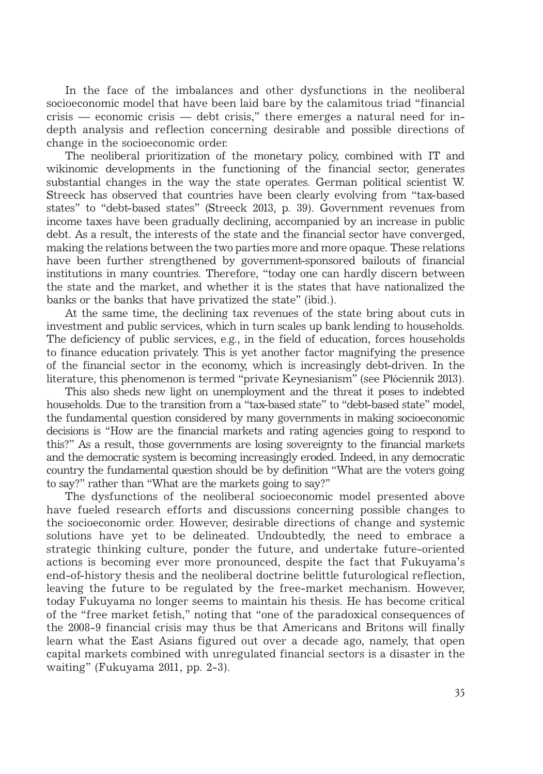In the face of the imbalances and other dysfunctions in the neoliberal socioeconomic model that have been laid bare by the calamitous triad "financial crisis — economic crisis — debt crisis," there emerges a natural need for indepth analysis and reflection concerning desirable and possible directions of change in the socioeconomic order.

The neoliberal prioritization of the monetary policy, combined with IT and wikinomic developments in the functioning of the financial sector, generates substantial changes in the way the state operates. German political scientist W. Streeck has observed that countries have been clearly evolving from "tax-based states" to "debt-based states" (Streeck 2013, p. 39). Government revenues from income taxes have been gradually declining, accompanied by an increase in public debt. As a result, the interests of the state and the financial sector have converged, making the relations between the two parties more and more opaque. These relations have been further strengthened by government-sponsored bailouts of financial institutions in many countries. Therefore, "today one can hardly discern between the state and the market, and whether it is the states that have nationalized the banks or the banks that have privatized the state" (ibid.).

At the same time, the declining tax revenues of the state bring about cuts in investment and public services, which in turn scales up bank lending to households. The deficiency of public services, e.g., in the field of education, forces households to finance education privately. This is yet another factor magnifying the presence of the financial sector in the economy, which is increasingly debt-driven. In the literature, this phenomenon is termed "private Keynesianism" (see Płóciennik 2013).

This also sheds new light on unemployment and the threat it poses to indebted households. Due to the transition from a "tax-based state" to "debt-based state" model, the fundamental question considered by many governments in making socioeconomic decisions is "How are the financial markets and rating agencies going to respond to this?" As a result, those governments are losing sovereignty to the financial markets and the democratic system is becoming increasingly eroded. Indeed, in any democratic country the fundamental question should be by definition "What are the voters going to say?" rather than "What are the markets going to say?"

The dysfunctions of the neoliberal socioeconomic model presented above have fueled research efforts and discussions concerning possible changes to the socioeconomic order. However, desirable directions of change and systemic solutions have yet to be delineated. Undoubtedly, the need to embrace a strategic thinking culture, ponder the future, and undertake future-oriented actions is becoming ever more pronounced, despite the fact that Fukuyama's end-of-history thesis and the neoliberal doctrine belittle futurological reflection, leaving the future to be regulated by the free-market mechanism. However, today Fukuyama no longer seems to maintain his thesis. He has become critical of the "free market fetish," noting that "one of the paradoxical consequences of the 2008-9 financial crisis may thus be that Americans and Britons will finally learn what the East Asians figured out over a decade ago, namely, that open capital markets combined with unregulated financial sectors is a disaster in the waiting" (Fukuyama 2011, pp. 2-3).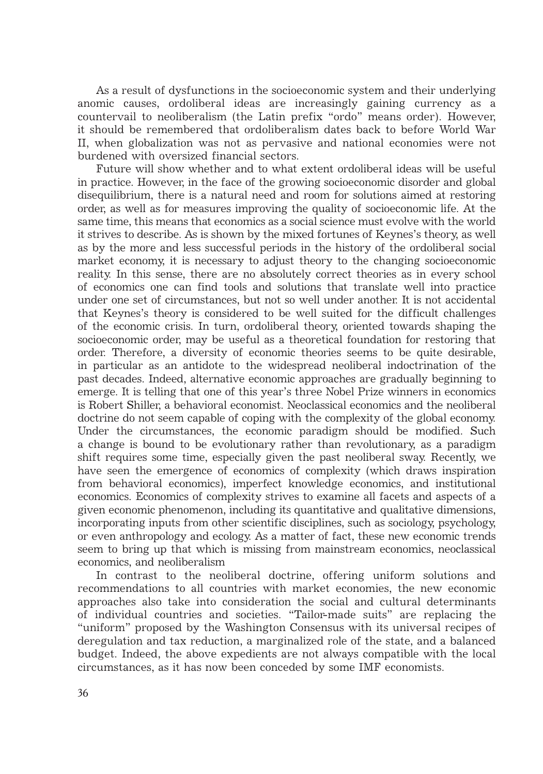As a result of dysfunctions in the socioeconomic system and their underlying anomic causes, ordoliberal ideas are increasingly gaining currency as a countervail to neoliberalism (the Latin prefix "ordo" means order). However, it should be remembered that ordoliberalism dates back to before World War II, when globalization was not as pervasive and national economies were not burdened with oversized financial sectors.

Future will show whether and to what extent ordoliberal ideas will be useful in practice. However, in the face of the growing socioeconomic disorder and global disequilibrium, there is a natural need and room for solutions aimed at restoring order, as well as for measures improving the quality of socioeconomic life. At the same time, this means that economics as a social science must evolve with the world it strives to describe. As is shown by the mixed fortunes of Keynes's theory, as well as by the more and less successful periods in the history of the ordoliberal social market economy, it is necessary to adjust theory to the changing socioeconomic reality. In this sense, there are no absolutely correct theories as in every school of economics one can find tools and solutions that translate well into practice under one set of circumstances, but not so well under another. It is not accidental that Keynes's theory is considered to be well suited for the difficult challenges of the economic crisis. In turn, ordoliberal theory, oriented towards shaping the socioeconomic order, may be useful as a theoretical foundation for restoring that order. Therefore, a diversity of economic theories seems to be quite desirable, in particular as an antidote to the widespread neoliberal indoctrination of the past decades. Indeed, alternative economic approaches are gradually beginning to emerge. It is telling that one of this year's three Nobel Prize winners in economics is Robert Shiller, a behavioral economist. Neoclassical economics and the neoliberal doctrine do not seem capable of coping with the complexity of the global economy. Under the circumstances, the economic paradigm should be modified. Such a change is bound to be evolutionary rather than revolutionary, as a paradigm shift requires some time, especially given the past neoliberal sway. Recently, we have seen the emergence of economics of complexity (which draws inspiration from behavioral economics), imperfect knowledge economics, and institutional economics. Economics of complexity strives to examine all facets and aspects of a given economic phenomenon, including its quantitative and qualitative dimensions, incorporating inputs from other scientific disciplines, such as sociology, psychology, or even anthropology and ecology. As a matter of fact, these new economic trends seem to bring up that which is missing from mainstream economics, neoclassical economics, and neoliberalism

In contrast to the neoliberal doctrine, offering uniform solutions and recommendations to all countries with market economies, the new economic approaches also take into consideration the social and cultural determinants of individual countries and societies. "Tailor-made suits" are replacing the "uniform" proposed by the Washington Consensus with its universal recipes of deregulation and tax reduction, a marginalized role of the state, and a balanced budget. Indeed, the above expedients are not always compatible with the local circumstances, as it has now been conceded by some IMF economists.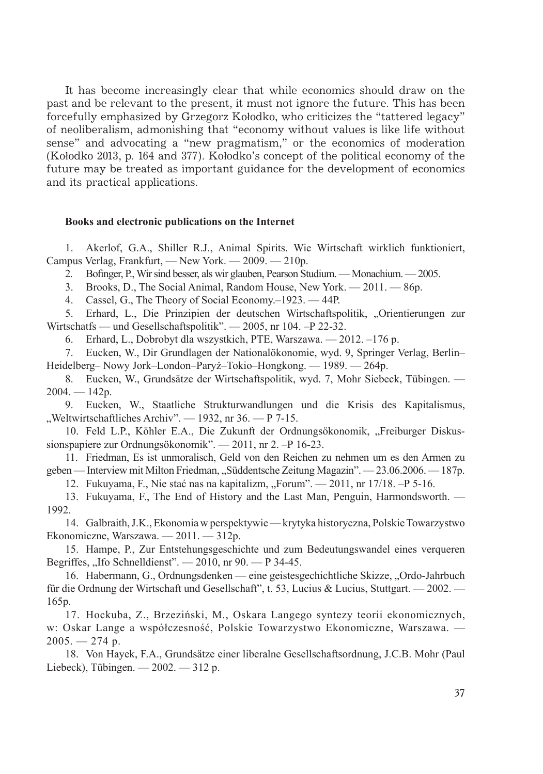It has become increasingly clear that while economics should draw on the past and be relevant to the present, it must not ignore the future. This has been forcefully emphasized by Grzegorz Kołodko, who criticizes the "tattered legacy" of neoliberalism, admonishing that "economy without values is like life without sense" and advocating a "new pragmatism," or the economics of moderation (Kołodko 2013, p. 164 and 377). Kołodko's concept of the political economy of the future may be treated as important guidance for the development of economics and its practical applications.

#### **Books and electronic publications on the Internet**

1. Akerlof, G.A., Shiller R.J., Animal Spirits. Wie Wirtschaft wirklich funktioniert, Campus Verlag, Frankfurt, — New York. — 2009. — 210р.

2. Bofinger, P., Wir sind besser, als wir glauben, Pearson Studium. — Monachium. — 2005.

3. Brooks, D., The Social Animal, Random House, New York. — 2011. — 86р.

4. Cassel, G., The Theory of Social Economy.–1923. — 44Р.

5. Erhard, L., Die Prinzipien der deutschen Wirtschaftspolitik, "Orientierungen zur Wirtschatfs — und Gesellschaftspolitik". — 2005, nr 104. –Р 22-32.

6. Erhard, L., Dobrobyt dla wszystkich, PTE, Warszawa. — 2012. –176 р.

7. Eucken, W., Dir Grundlagen der Nationalökonomie, wyd. 9, Springer Verlag, Berlin– Heidelberg– Nowy Jork–London–Paryż–Tokio–Hongkong. — 1989. — 264р.

8. Eucken, W., Grundsätze der Wirtschaftspolitik, wyd. 7, Mohr Siebeck, Tübingen. —  $2004. - 142p.$ 

9. Eucken, W., Staatliche Strukturwandlungen und die Krisis des Kapitalismus, "Weltwirtschaftliches Archiv". — 1932, nr 36. — Р 7-15.

10. Feld L.P., Köhler E.A., Die Zukunft der Ordnungsökonomik, "Freiburger Diskussionspapiere zur Ordnungsökonomik". — 2011, nr 2. – P 16-23.

11. Friedman, Es ist unmoralisch, Geld von den Reichen zu nehmen um es den Armen zu geben — Interview mit Milton Friedman, "Süddentsche Zeitung Magazin". — 23.06.2006. — 187р.

12. Fukuyama, F., Nie stać nas na kapitalizm, "Forum". — 2011, nr 17/18. - Р 5-16.

13. Fukuyama, F., The End of History and the Last Man, Penguin, Harmondsworth. — 1992.

14. Galbraith, J.K., Ekonomia w perspektywie — krytyka historyczna, Polskie Towarzystwo Ekonomiczne, Warszawa. — 2011. — 312р.

15. Hampe, P., Zur Entstehungsgeschichte und zum Bedeutungswandel eines verqueren Begriffes, "Ifo Schnelldienst".  $-2010$ , nr 90.  $-$  P 34-45.

16. Habermann, G., Ordnungsdenken — eine geistesgechichtliche Skizze, "Ordo-Jahrbuch für die Ordnung der Wirtschaft und Gesellschaft", t. 53, Lucius & Lucius, Stuttgart. — 2002. — 165р.

17. Hockuba, Z., Brzeziński, M., Oskara Langego syntezy teorii ekonomicznych, w: Oskar Lange a współczesność, Polskie Towarzystwo Ekonomiczne, Warszawa. —  $2005. - 274$  p.

18. Von Hayek, F.A., Grundsätze einer liberalne Gesellschaftsordnung, J.C.B. Mohr (Paul Liebeck), Tübingen. — 2002. — 312 р.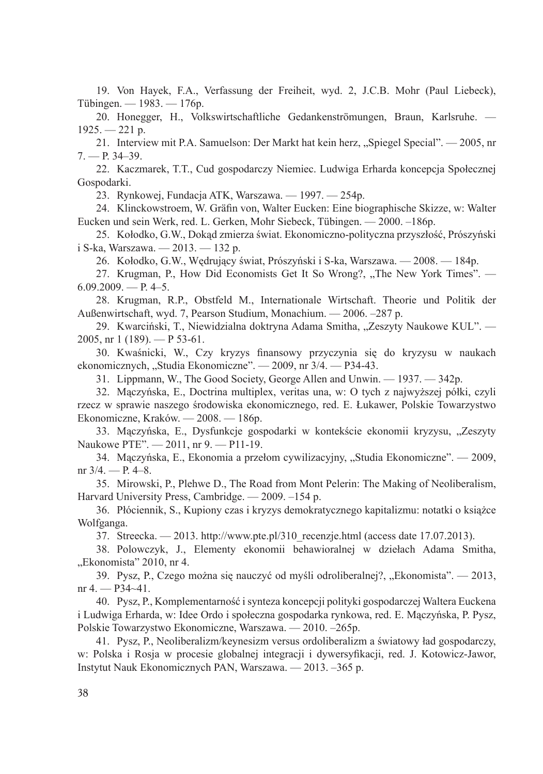19. Von Hayek, F.A., Verfassung der Freiheit, wyd. 2, J.C.B. Mohr (Paul Liebeck), Tübingen. — 1983. — 176р.

20. Honegger, H., Volkswirtschaftliche Gedankenströmungen, Braun, Karlsruhe. — 1925. — 221 р.

21. Interview mit P.A. Samuelson: Der Markt hat kein herz, "Spiegel Special". — 2005, nr 7. — Р. 34–39.

22. Kaczmarek, T.T., Cud gospodarczy Niemiec. Ludwiga Erharda koncepcja Społecznej Gospodarki.

23. Rynkowej, Fundacja ATK, Warszawa. — 1997. — 254р.

24. Klinckowstroem, W. Gräfin von, Walter Eucken: Eine biographische Skizze, w: Walter Eucken und sein Werk, red. L. Gerken, Mohr Siebeck, Tübingen. — 2000. –186р.

25. Kołodko, G.W., Dokąd zmierza świat. Ekonomiczno-polityczna przyszłość, Prószyński i S-ka, Warszawa. — 2013. — 132 р.

26. Kołodko, G.W., Wędrujący świat, Prószyński i S-ka, Warszawa. — 2008. — 184р.

27. Krugman, P., How Did Economists Get It So Wrong?, "The New York Times". —  $6.09.2009. - P. 4-5.$ 

28. Krugman, R.P., Obstfeld M., Internationale Wirtschaft. Theorie und Politik der Außenwirtschaft, wyd. 7, Pearson Studium, Monachium. — 2006. –287 р.

29. Kwarciński, T., Niewidzialna doktryna Adama Smitha, "Zeszyty Naukowe KUL". — 2005, nr 1 (189). — Р 53-61.

30. Kwaśnicki, W., Czy kryzys finansowy przyczynia się do kryzysu w naukach ekonomicznych, "Studia Ekonomiczne". — 2009, nr 3/4. — P34-43.

31. Lippmann, W., The Good Society, George Allen and Unwin. — 1937. — 342р.

32. Mączyńska, E., Doctrina multiplex, veritas una, w: O tych z najwyższej półki, czyli rzecz w sprawie naszego środowiska ekonomicznego, red. E. Łukawer, Polskie Towarzystwo Ekonomiczne, Kraków. — 2008. — 186р.

33. Mączyńska, E., Dysfunkcje gospodarki w kontekście ekonomii kryzysu, "Zeszyty Naukowe PTE". — 2011, nr 9. — P11-19.

34. Mączyńska, E., Ekonomia a przełom cywilizacyjny, "Studia Ekonomiczne". — 2009, nr 3/4. — Р. 4–8.

35. Mirowski, P., Plehwe D., The Road from Mont Pelerin: The Making of Neoliberalism, Harvard University Press, Cambridge. — 2009. –154 р.

36. Płóciennik, S., Kupiony czas i kryzys demokratycznego kapitalizmu: notatki o książce Wolfganga.

37. Streecka. — 2013. http://www.pte.pl/310\_recenzje.html (access date 17.07.2013).

38. Polowczyk, J., Elementy ekonomii behawioralnej w dziełach Adama Smitha, "Ekonomista" 2010, nr 4.

39. Pysz, P., Czego można się nauczyć od myśli odroliberalnej?, "Ekonomista". — 2013, nr 4. — Р34~41.

40. Pysz, P., Komplementarność i synteza koncepcji polityki gospodarczej Waltera Euckena i Ludwiga Erharda, w: Idee Ordo i społeczna gospodarka rynkowa, red. E. Mączyńska, P. Pysz, Polskie Towarzystwo Ekonomiczne, Warszawa. — 2010. –265р.

41. Pysz, P., Neoliberalizm/keynesizm versus ordoliberalizm a światowy ład gospodarczy, w: Polska i Rosja w procesie globalnej integracji i dywersyfikacji, red. J. Kotowicz-Jawor, Instytut Nauk Ekonomicznych PAN, Warszawa. — 2013. –365 р.